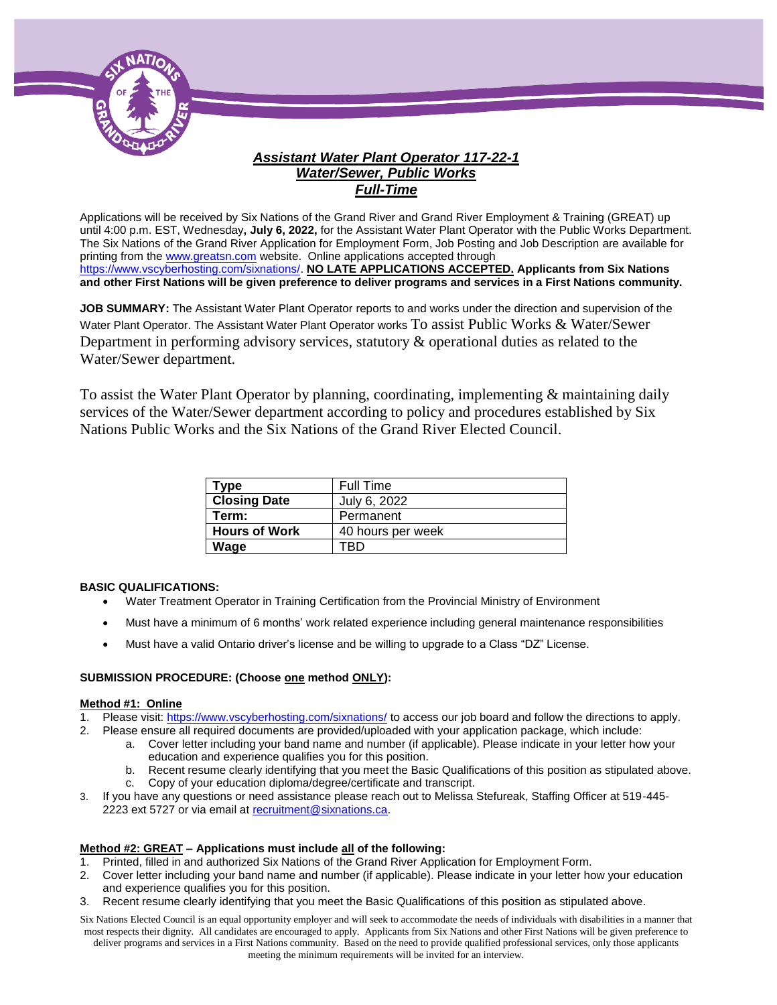

# *Assistant Water Plant Operator 117-22-1 Water/Sewer, Public Works Full-Time*

Applications will be received by Six Nations of the Grand River and Grand River Employment & Training (GREAT) up until 4:00 p.m. EST, Wednesday**, July 6, 2022,** for the Assistant Water Plant Operator with the Public Works Department. The Six Nations of the Grand River Application for Employment Form, Job Posting and Job Description are available for printing from th[e www.greatsn.com](http://www.greatsn.com/) website. Online applications accepted through [https://www.vscyberhosting.com/sixnations/.](https://www.vscyberhosting.com/sixnations/) **NO LATE APPLICATIONS ACCEPTED. Applicants from Six Nations and other First Nations will be given preference to deliver programs and services in a First Nations community.**

**JOB SUMMARY:** The Assistant Water Plant Operator reports to and works under the direction and supervision of the Water Plant Operator. The Assistant Water Plant Operator works To assist Public Works & Water/Sewer Department in performing advisory services, statutory & operational duties as related to the Water/Sewer department.

To assist the Water Plant Operator by planning, coordinating, implementing & maintaining daily services of the Water/Sewer department according to policy and procedures established by Six Nations Public Works and the Six Nations of the Grand River Elected Council.

| Type                 | Full Time         |
|----------------------|-------------------|
| <b>Closing Date</b>  | July 6, 2022      |
| Term:                | Permanent         |
| <b>Hours of Work</b> | 40 hours per week |
| Wage                 | ⊤RD               |

#### **BASIC QUALIFICATIONS:**

- Water Treatment Operator in Training Certification from the Provincial Ministry of Environment
- Must have a minimum of 6 months' work related experience including general maintenance responsibilities
- Must have a valid Ontario driver's license and be willing to upgrade to a Class "DZ" License.

#### **SUBMISSION PROCEDURE: (Choose one method ONLY):**

#### **Method #1: Online**

- 1. Please visit[: https://www.vscyberhosting.com/sixnations/](https://www.vscyberhosting.com/sixnations/) to access our job board and follow the directions to apply.
- 2. Please ensure all required documents are provided/uploaded with your application package, which include:
	- a. Cover letter including your band name and number (if applicable). Please indicate in your letter how your education and experience qualifies you for this position.
		- b. Recent resume clearly identifying that you meet the Basic Qualifications of this position as stipulated above.
		- c. Copy of your education diploma/degree/certificate and transcript.
- 3. If you have any questions or need assistance please reach out to Melissa Stefureak, Staffing Officer at 519-445- 2223 ext 5727 or via email at [recruitment@sixnations.ca.](mailto:recruitment@sixnations.ca)

#### **Method #2: GREAT – Applications must include all of the following:**

- 1. Printed, filled in and authorized Six Nations of the Grand River Application for Employment Form.
- 2. Cover letter including your band name and number (if applicable). Please indicate in your letter how your education and experience qualifies you for this position.
- 3. Recent resume clearly identifying that you meet the Basic Qualifications of this position as stipulated above.
- Six Nations Elected Council is an equal opportunity employer and will seek to accommodate the needs of individuals with disabilities in a manner that most respects their dignity. All candidates are encouraged to apply. Applicants from Six Nations and other First Nations will be given preference to deliver programs and services in a First Nations community. Based on the need to provide qualified professional services, only those applicants meeting the minimum requirements will be invited for an interview.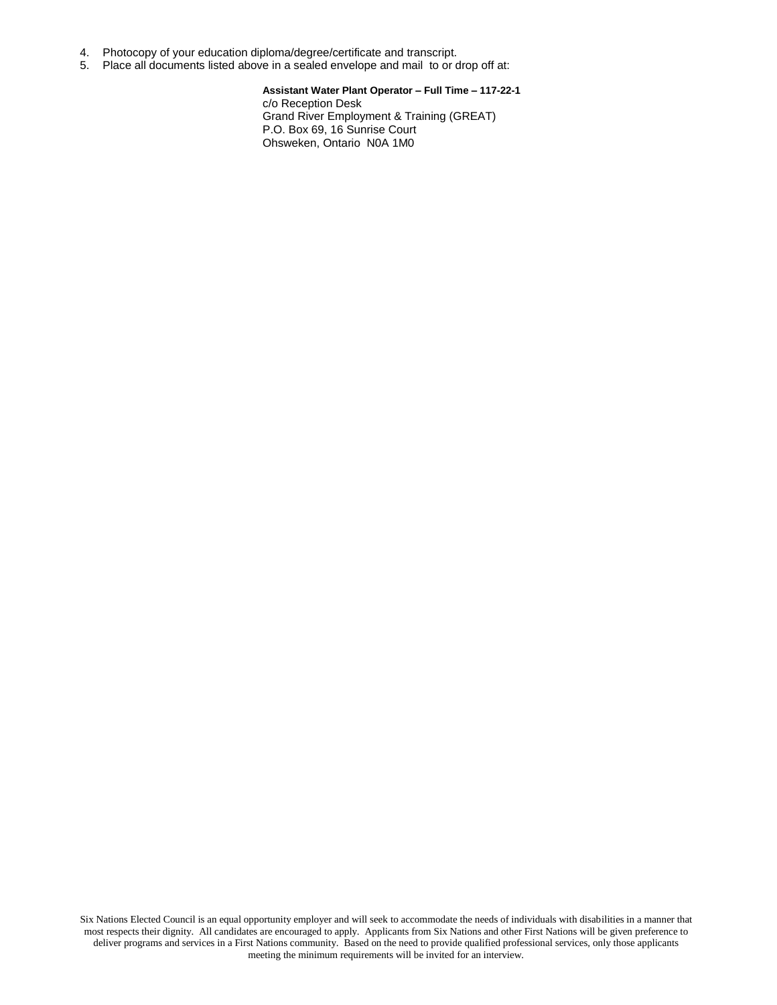- 4. Photocopy of your education diploma/degree/certificate and transcript.
- 5. Place all documents listed above in a sealed envelope and mail to or drop off at:

**Assistant Water Plant Operator – Full Time – 117-22-1** c/o Reception Desk Grand River Employment & Training (GREAT) P.O. Box 69, 16 Sunrise Court Ohsweken, Ontario N0A 1M0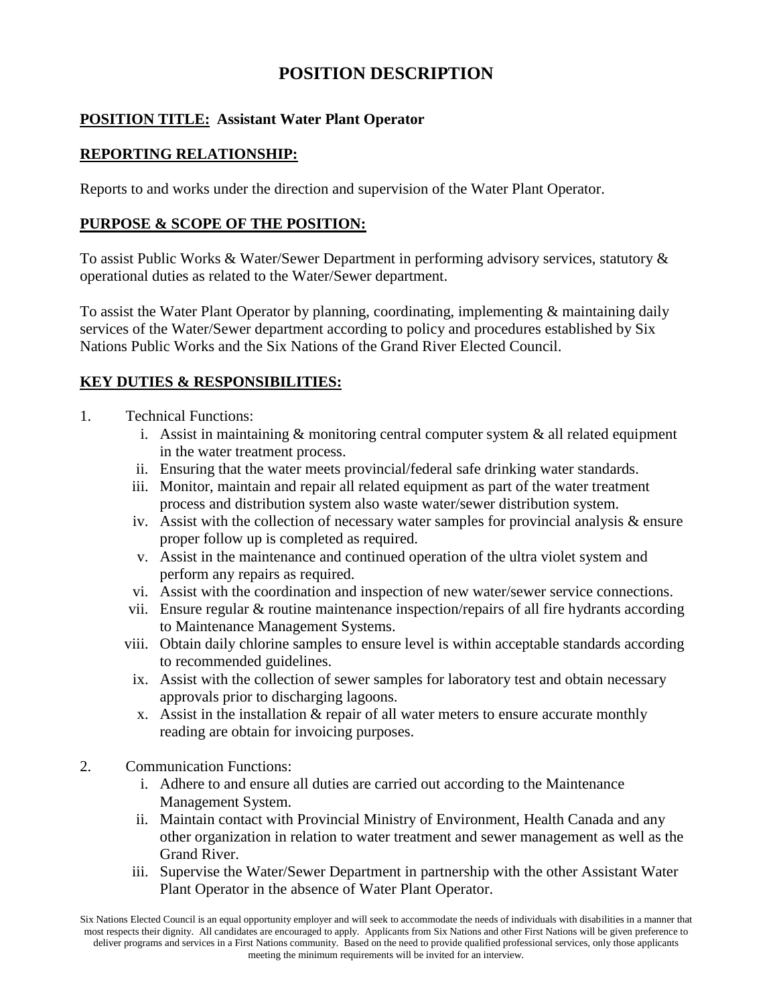# **POSITION DESCRIPTION**

# **POSITION TITLE: Assistant Water Plant Operator**

# **REPORTING RELATIONSHIP:**

Reports to and works under the direction and supervision of the Water Plant Operator.

# **PURPOSE & SCOPE OF THE POSITION:**

To assist Public Works & Water/Sewer Department in performing advisory services, statutory & operational duties as related to the Water/Sewer department.

To assist the Water Plant Operator by planning, coordinating, implementing & maintaining daily services of the Water/Sewer department according to policy and procedures established by Six Nations Public Works and the Six Nations of the Grand River Elected Council.

# **KEY DUTIES & RESPONSIBILITIES:**

- 1. Technical Functions:
	- i. Assist in maintaining  $\&$  monitoring central computer system  $\&$  all related equipment in the water treatment process.
	- ii. Ensuring that the water meets provincial/federal safe drinking water standards.
	- iii. Monitor, maintain and repair all related equipment as part of the water treatment process and distribution system also waste water/sewer distribution system.
	- iv. Assist with the collection of necessary water samples for provincial analysis & ensure proper follow up is completed as required.
	- v. Assist in the maintenance and continued operation of the ultra violet system and perform any repairs as required.
	- vi. Assist with the coordination and inspection of new water/sewer service connections.
	- vii. Ensure regular & routine maintenance inspection/repairs of all fire hydrants according to Maintenance Management Systems.
	- viii. Obtain daily chlorine samples to ensure level is within acceptable standards according to recommended guidelines.
		- ix. Assist with the collection of sewer samples for laboratory test and obtain necessary approvals prior to discharging lagoons.
		- x. Assist in the installation & repair of all water meters to ensure accurate monthly reading are obtain for invoicing purposes.
- 2. Communication Functions:
	- i. Adhere to and ensure all duties are carried out according to the Maintenance Management System.
	- ii. Maintain contact with Provincial Ministry of Environment, Health Canada and any other organization in relation to water treatment and sewer management as well as the Grand River.
	- iii. Supervise the Water/Sewer Department in partnership with the other Assistant Water Plant Operator in the absence of Water Plant Operator.

Six Nations Elected Council is an equal opportunity employer and will seek to accommodate the needs of individuals with disabilities in a manner that most respects their dignity. All candidates are encouraged to apply. Applicants from Six Nations and other First Nations will be given preference to deliver programs and services in a First Nations community. Based on the need to provide qualified professional services, only those applicants meeting the minimum requirements will be invited for an interview.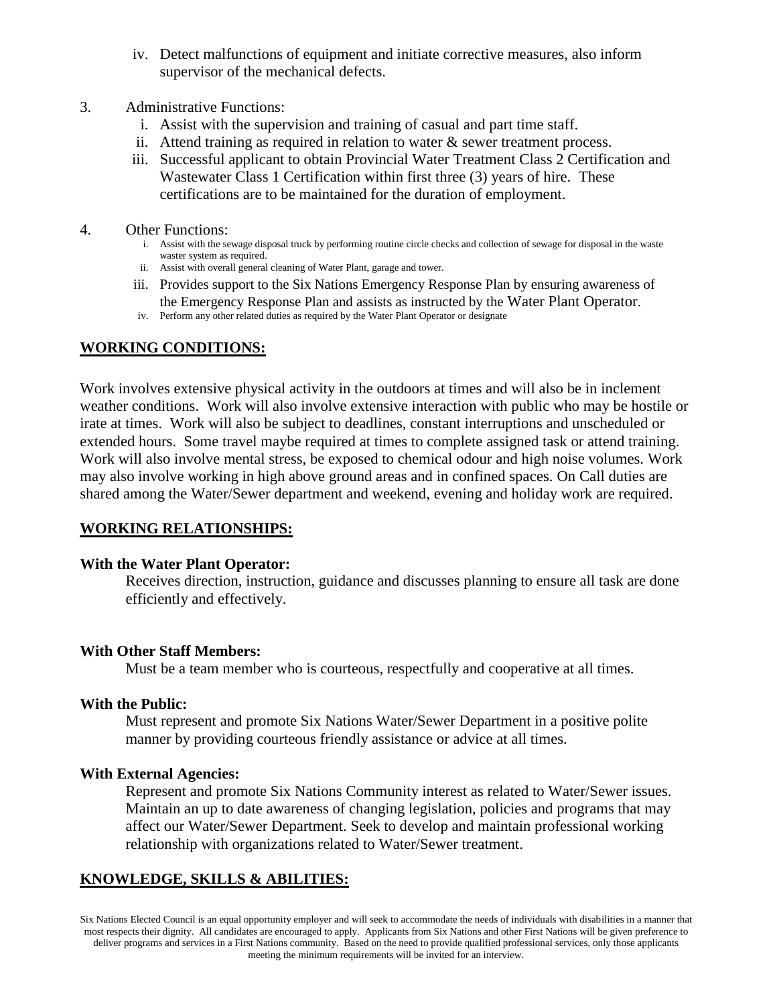- iv. Detect malfunctions of equipment and initiate corrective measures, also inform supervisor of the mechanical defects.
- 3. Administrative Functions:
	- i. Assist with the supervision and training of casual and part time staff.
	- ii. Attend training as required in relation to water  $\&$  sewer treatment process.
	- iii. Successful applicant to obtain Provincial Water Treatment Class 2 Certification and Wastewater Class 1 Certification within first three (3) years of hire. These certifications are to be maintained for the duration of employment.
- 4. Other Functions:
	- i. Assist with the sewage disposal truck by performing routine circle checks and collection of sewage for disposal in the waste waster system as required.
	- ii. Assist with overall general cleaning of Water Plant, garage and tower.
	- iii. Provides support to the Six Nations Emergency Response Plan by ensuring awareness of the Emergency Response Plan and assists as instructed by the Water Plant Operator.
	- iv. Perform any other related duties as required by the Water Plant Operator or designate

# **WORKING CONDITIONS:**

Work involves extensive physical activity in the outdoors at times and will also be in inclement weather conditions. Work will also involve extensive interaction with public who may be hostile or irate at times. Work will also be subject to deadlines, constant interruptions and unscheduled or extended hours. Some travel maybe required at times to complete assigned task or attend training. Work will also involve mental stress, be exposed to chemical odour and high noise volumes. Work may also involve working in high above ground areas and in confined spaces. On Call duties are shared among the Water/Sewer department and weekend, evening and holiday work are required.

## **WORKING RELATIONSHIPS:**

### **With the Water Plant Operator:**

Receives direction, instruction, guidance and discusses planning to ensure all task are done efficiently and effectively.

## **With Other Staff Members:**

Must be a team member who is courteous, respectfully and cooperative at all times.

### **With the Public:**

Must represent and promote Six Nations Water/Sewer Department in a positive polite manner by providing courteous friendly assistance or advice at all times.

## **With External Agencies:**

Represent and promote Six Nations Community interest as related to Water/Sewer issues. Maintain an up to date awareness of changing legislation, policies and programs that may affect our Water/Sewer Department. Seek to develop and maintain professional working relationship with organizations related to Water/Sewer treatment.

# **KNOWLEDGE, SKILLS & ABILITIES:**

Six Nations Elected Council is an equal opportunity employer and will seek to accommodate the needs of individuals with disabilities in a manner that most respects their dignity. All candidates are encouraged to apply. Applicants from Six Nations and other First Nations will be given preference to deliver programs and services in a First Nations community. Based on the need to provide qualified professional services, only those applicants meeting the minimum requirements will be invited for an interview.